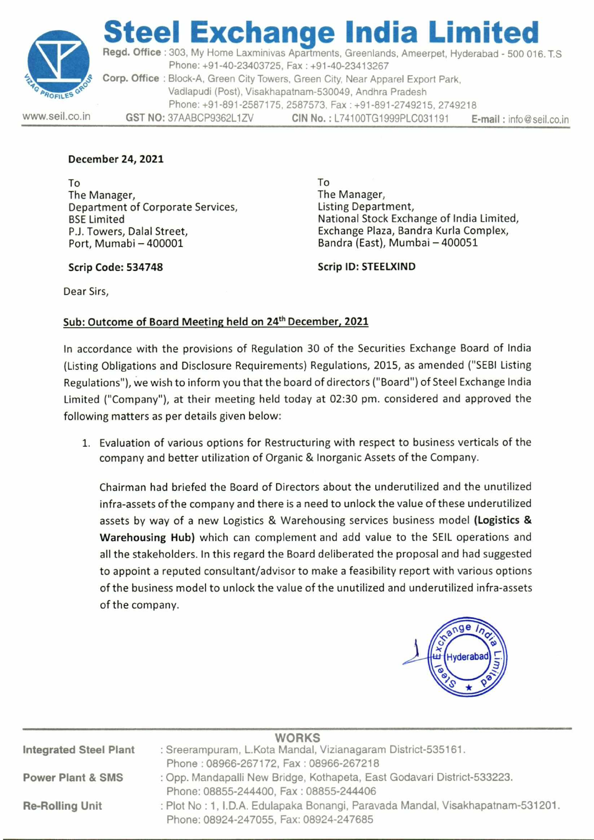

## **eel Exchange India Limi Regd. Office :** 303, My Home Laxminivas Apartments, Greenlands, Ameerpet, Hyderabad - 500 016. TS

Phone: +91-40-23403725, Fax : +91-40-23413267 **Corp. Office :** Block-A, Green City Towers, Green City, Near Apparel Export Park, Vadlapudi (Post), Visakhapatnam-530049, Andhra Pradesh Phone: +91-891-2587175, 2587573, Fax : +91-891-2749215, 2749218 www.seil.co.in **GST NO:** 37AABCP9362L1ZV **CIN No. :** L74100TG1999PLC031191 **E-mail :** info@seil.co.in

#### **December 24, 2021**

To The Manager, Department of Corporate Services, BSE Limited P.J. Towers, Dalal Street, Port, Mumabi — 400001

To The Manager, Listing Department, National Stock Exchange of India Limited, Exchange Plaza, Bandra Kurla Complex, Bandra (East), Mumbai — 400051

**Scrip Code: 534748** 

**Scrip ID: STEELXIND** 

Dear Sirs,

### **Sub: Outcome of Board Meeting held on 24th December, 2021**

In accordance with the provisions of Regulation 30 of the Securities Exchange Board of India (Listing Obligations and Disclosure Requirements) Regulations, 2015, as amended ("SEBI Listing Regulations"), we wish to inform you that the board of directors ("Board") of Steel Exchange India Limited ("Company"), at their meeting held today at 02:30 pm. considered and approved the following matters as per details given below:

1. Evaluation of various options for Restructuring with respect to business verticals of the company and better utilization of Organic & Inorganic Assets of the Company.

Chairman had briefed the Board of Directors about the underutilized and the unutilized infra-assets of the company and there is a need to unlock the value of these underutilized assets by way of a new Logistics & Warehousing services business model **(Logistics & Warehousing Hub)** which can complement and add value to the SEIL operations and all the stakeholders. In this regard the Board deliberated the proposal and had suggested to appoint a reputed consultant/advisor to make a feasibility report with various options of the business model to unlock the value of the unutilized and underutilized infra-assets of the company.



|                               | <b>WORKS</b>                                                                    |
|-------------------------------|---------------------------------------------------------------------------------|
| <b>Integrated Steel Plant</b> | : Sreerampuram, L.Kota Mandal, Vizianagaram District-535161.                    |
|                               | Phone: 08966-267172, Fax: 08966-267218                                          |
| <b>Power Plant &amp; SMS</b>  | : Opp. Mandapalli New Bridge, Kothapeta, East Godavari District-533223.         |
|                               | Phone: 08855-244400, Fax: 08855-244406                                          |
| <b>Re-Rolling Unit</b>        | : Plot No : 1, I.D.A. Edulapaka Bonangi, Paravada Mandal, Visakhapatnam-531201. |
|                               | Phone: 08924-247055, Fax: 08924-247685                                          |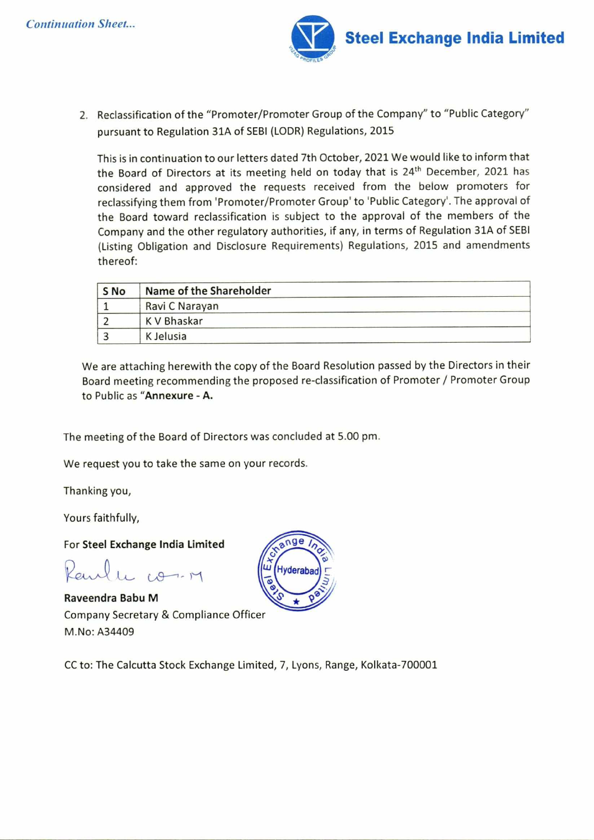

2. Reclassification of the "Promoter/Promoter Group of the Company" to "Public Category" pursuant to Regulation 31A of SEBI (LODR) Regulations, 2015

This is in continuation to our letters dated 7th October, 2021 We would like to inform that the Board of Directors at its meeting held on today that is 24<sup>th</sup> December, 2021 has considered and approved the requests received from the below promoters for reclassifying them from 'Promoter/Promoter Group' to 'Public Category'. The approval of the Board toward reclassification is subject to the approval of the members of the Company and the other regulatory authorities, if any, in terms of Regulation 31A of SEBI (Listing Obligation and Disclosure Requirements) Regulations, 2015 and amendments thereof:

| S <sub>No</sub> | Name of the Shareholder |
|-----------------|-------------------------|
|                 | Ravi C Narayan          |
|                 | K V Bhaskar             |
|                 | K Jelusia               |

We are attaching herewith the copy of the Board Resolution passed by the Directors in their Board meeting recommending the proposed re-classification of Promoter / Promoter Group to Public as **"Annexure - A.** 

The meeting of the Board of Directors was concluded at 5.00 pm.

We request you to take the same on your records.

Thanking you,

Yours faithfully,

For **Steel Exchange India Limited** 

Raulle com

**Raveendra Babu M**  Company Secretary & Compliance Officer M.No: A34409



CC to: The Calcutta Stock Exchange Limited, 7, Lyons, Range, Kolkata-700001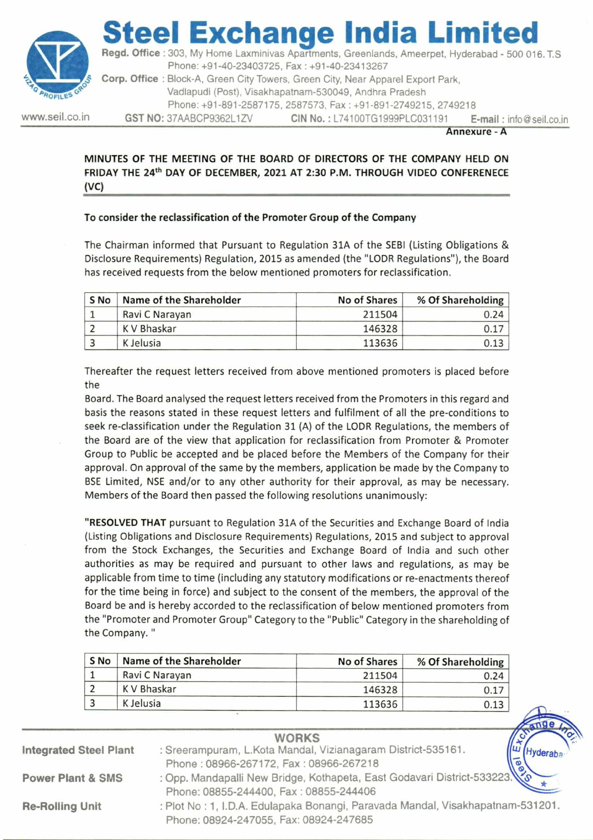

# teel Exchange India Limi

**Regd. Office :** 303, My Home Laxminivas Apartments, Greenlands, Ameerpet, Hyderabad - 500 016. T.S Phone: +91-40-23403725, Fax : +91-40-23413267 **Corp. Office :** Block-A, Green City Towers, Green City, Near Apparel Export Park,

Vadlapudi (Post), Visakhapatnam-530049, Andhra Pradesh

Phone: +91-891-2587175, 2587573, Fax : +91-891-2749215, 2749218

www.seil.co.in **GST NO:** 37AABCP9362L1ZV **CIN No.:** L74100TG1999PLC031191 **E-mail : info@seil.co.in** 

**Annexure - A** 

 $\rightarrow$ 

**MINUTES OF THE MEETING OF THE BOARD OF DIRECTORS OF THE COMPANY HELD ON FRIDAY THE 24th DAY OF DECEMBER, 2021 AT 2:30 P.M. THROUGH VIDEO CONFERENECE (VC)** 

### **To consider the reclassification of the Promoter Group of the Company**

The Chairman informed that Pursuant to Regulation 31A of the SEBI (Listing Obligations & Disclosure Requirements) Regulation, 2015 as amended (the "LODR Regulations"), the Board has received requests from the below mentioned promoters for reclassification.

| S No | Name of the Shareholder | No of Shares | % Of Shareholding |
|------|-------------------------|--------------|-------------------|
|      | Ravi C Narayan          | 211504       | 0.24              |
|      | K V Bhaskar             | 146328       | 0.17              |
|      | K Jelusia               | 113636       |                   |

Thereafter the request letters received from above mentioned promoters is placed before the

Board. The Board analysed the request letters received from the Promoters in this regard and basis the reasons stated in these request letters and fulfilment of all the pre-conditions to seek re-classification under the Regulation 31 (A) of the LODR Regulations, the members of the Board are of the view that application for reclassification from Promoter & Promoter Group to Public be accepted and be placed before the Members of the Company for their approval. On approval of the same by the members, application be made by the Company to BSE Limited, NSE and/or to any other authority for their approval, as may be necessary. Members of the Board then passed the following resolutions unanimously:

**"RESOLVED THAT** pursuant to Regulation 31A of the Securities and Exchange Board of India (Listing Obligations and Disclosure Requirements) Regulations, 2015 and subject to approval from the Stock Exchanges, the Securities and Exchange Board of India and such other authorities as may be required and pursuant to other laws and regulations, as may be applicable from time to time (including any statutory modifications or re-enactments thereof for the time being in force) and subject to the consent of the members, the approval of the Board be and is hereby accorded to the reclassification of below mentioned promoters from the "Promoter and Promoter Group" Category to the "Public" Category in the shareholding of the Company. "

| S <sub>No</sub> | Name of the Shareholder | No of Shares | % Of Shareholding |
|-----------------|-------------------------|--------------|-------------------|
|                 | Ravi C Narayan          | 211504       | 0.24              |
|                 | K V Bhaskar             | 146328       | 0.17              |
|                 | K Jelusia               | 113636       | 0.13              |

| <b>WORKS</b>                                                                                                        |  |
|---------------------------------------------------------------------------------------------------------------------|--|
| : Sreerampuram, L.Kota Mandal, Vizianagaram District-535161.<br><i>yderaba</i>                                      |  |
| Phone : 08966-267172, Fax : 08966-267218<br>: Opp. Mandapalli New Bridge, Kothapeta, East Godavari District-533223. |  |
|                                                                                                                     |  |
| Phone: 08855-244400, Fax: 08855-244406                                                                              |  |
| : Plot No : 1, I.D.A. Edulapaka Bonangi, Paravada Mandal, Visakhapatnam-531201.                                     |  |
| Phone: 08924-247055, Fax: 08924-247685                                                                              |  |
|                                                                                                                     |  |